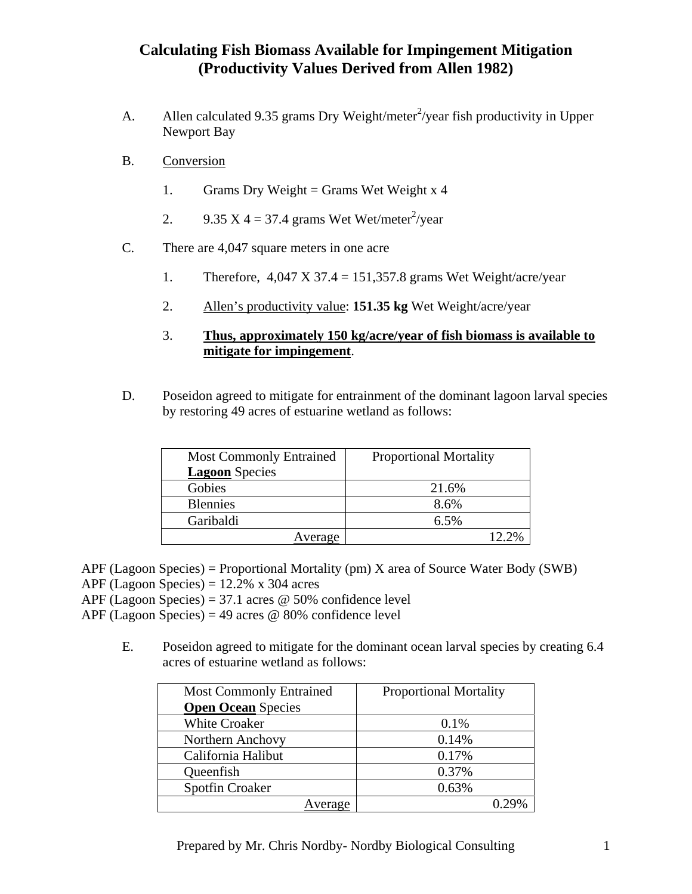## **Calculating Fish Biomass Available for Impingement Mitigation (Productivity Values Derived from Allen 1982)**

- A. Allen calculated 9.35 grams Dry Weight/meter<sup>2</sup>/year fish productivity in Upper Newport Bay
- B. Conversion
	- 1. Grams Dry Weight = Grams Wet Weight  $x$  4
	- 2. 9.35 X 4 = 37.4 grams Wet Wet/meter<sup>2</sup>/year
- C. There are 4,047 square meters in one acre
	- 1. Therefore,  $4,047 \text{ X } 37.4 = 151,357.8 \text{ grams}$  Wet Weight/acre/year
	- 2. Allen's productivity value: **151.35 kg** Wet Weight/acre/year
	- 3. **Thus, approximately 150 kg/acre/year of fish biomass is available to mitigate for impingement**.
- D. Poseidon agreed to mitigate for entrainment of the dominant lagoon larval species by restoring 49 acres of estuarine wetland as follows:

| <b>Most Commonly Entrained</b> | <b>Proportional Mortality</b> |
|--------------------------------|-------------------------------|
| <b>Lagoon</b> Species          |                               |
| Gobies                         | 21.6%                         |
| <b>Blennies</b>                | 8.6%                          |
| Garibaldi                      | 6.5%                          |
| Average                        |                               |

APF (Lagoon Species) = Proportional Mortality (pm) X area of Source Water Body (SWB)

APF (Lagoon Species) =  $12.2\%$  x 304 acres

APF (Lagoon Species) = 37.1 acres  $\omega$  50% confidence level

APF (Lagoon Species) = 49 acres  $\omega$  80% confidence level

E. Poseidon agreed to mitigate for the dominant ocean larval species by creating 6.4 acres of estuarine wetland as follows:

| <b>Most Commonly Entrained</b> | <b>Proportional Mortality</b> |
|--------------------------------|-------------------------------|
| <b>Open Ocean</b> Species      |                               |
| <b>White Croaker</b>           | $0.1\%$                       |
| Northern Anchovy               | 0.14%                         |
| California Halibut             | 0.17%                         |
| Queenfish                      | 0.37%                         |
| <b>Spotfin Croaker</b>         | 0.63%                         |
| verage                         |                               |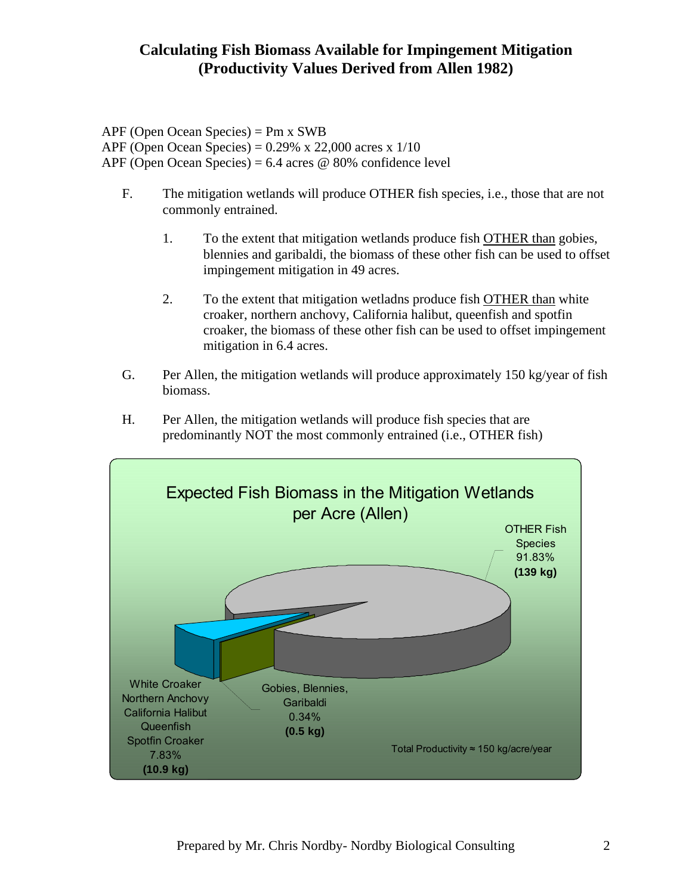## **Calculating Fish Biomass Available for Impingement Mitigation (Productivity Values Derived from Allen 1982)**

APF (Open Ocean Species) = Pm x SWB APF (Open Ocean Species) = 0.29% x 22,000 acres x 1/10 APF (Open Ocean Species) =  $6.4$  acres @ 80% confidence level

- F. The mitigation wetlands will produce OTHER fish species, i.e., those that are not commonly entrained.
	- 1. To the extent that mitigation wetlands produce fish OTHER than gobies, blennies and garibaldi, the biomass of these other fish can be used to offset impingement mitigation in 49 acres.
	- 2. To the extent that mitigation wetladns produce fish OTHER than white croaker, northern anchovy, California halibut, queenfish and spotfin croaker, the biomass of these other fish can be used to offset impingement mitigation in 6.4 acres.
- G. Per Allen, the mitigation wetlands will produce approximately 150 kg/year of fish biomass.
- H. Per Allen, the mitigation wetlands will produce fish species that are predominantly NOT the most commonly entrained (i.e., OTHER fish)